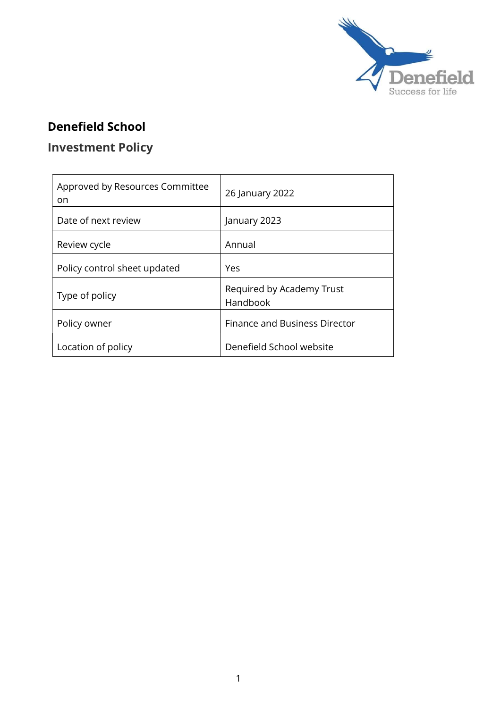

## Denefield School

## Investment Policy

| Approved by Resources Committee<br>on | 26 January 2022                       |  |
|---------------------------------------|---------------------------------------|--|
| Date of next review                   | January 2023                          |  |
| Review cycle                          | Annual                                |  |
| Policy control sheet updated          | Yes                                   |  |
| Type of policy                        | Required by Academy Trust<br>Handbook |  |
| Policy owner                          | <b>Finance and Business Director</b>  |  |
| Location of policy                    | Denefield School website              |  |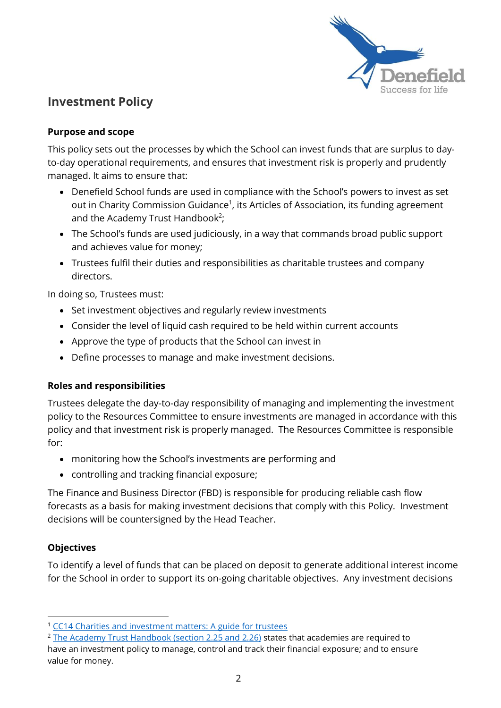

### Investment Policy

#### Purpose and scope

This policy sets out the processes by which the School can invest funds that are surplus to dayto-day operational requirements, and ensures that investment risk is properly and prudently managed. It aims to ensure that:

- Denefield School funds are used in compliance with the School's powers to invest as set out in Charity Commission Guidance<sup>1</sup>, its Articles of Association, its funding agreement and the Academy Trust Handbook<sup>2</sup>;
- The School's funds are used judiciously, in a way that commands broad public support and achieves value for money;
- Trustees fulfil their duties and responsibilities as charitable trustees and company directors.

In doing so, Trustees must:

- Set investment objectives and regularly review investments
- Consider the level of liquid cash required to be held within current accounts
- Approve the type of products that the School can invest in
- Define processes to manage and make investment decisions.

#### Roles and responsibilities

Trustees delegate the day-to-day responsibility of managing and implementing the investment policy to the Resources Committee to ensure investments are managed in accordance with this policy and that investment risk is properly managed. The Resources Committee is responsible for:

- monitoring how the School's investments are performing and
- controlling and tracking financial exposure;

The Finance and Business Director (FBD) is responsible for producing reliable cash flow forecasts as a basis for making investment decisions that comply with this Policy. Investment decisions will be countersigned by the Head Teacher.

#### **Objectives**

To identify a level of funds that can be placed on deposit to generate additional interest income for the School in order to support its on-going charitable objectives. Any investment decisions

<sup>&</sup>lt;sup>1</sup> CC14 Charities and investment matters: A guide for trustees

<sup>&</sup>lt;sup>2</sup> The Academy Trust Handbook (section 2.25 and 2.26) states that academies are required to have an investment policy to manage, control and track their financial exposure; and to ensure value for money.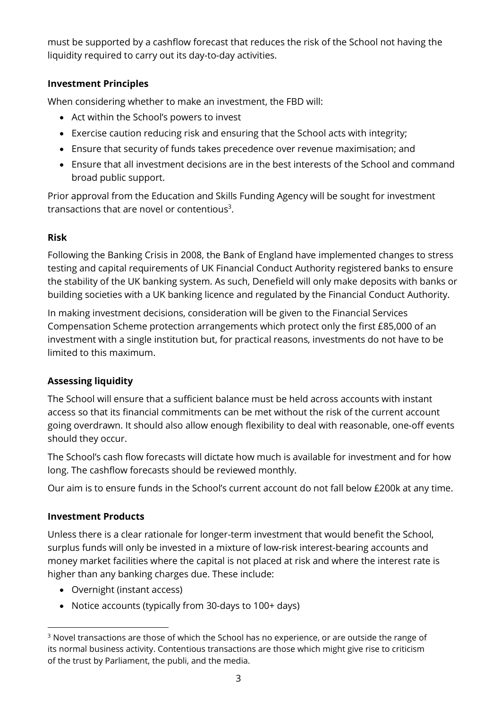must be supported by a cashflow forecast that reduces the risk of the School not having the liquidity required to carry out its day-to-day activities.

#### Investment Principles

When considering whether to make an investment, the FBD will:

- Act within the School's powers to invest
- Exercise caution reducing risk and ensuring that the School acts with integrity;
- Ensure that security of funds takes precedence over revenue maximisation; and
- Ensure that all investment decisions are in the best interests of the School and command broad public support.

Prior approval from the Education and Skills Funding Agency will be sought for investment transactions that are novel or contentious<sup>3</sup>.

#### Risk

Following the Banking Crisis in 2008, the Bank of England have implemented changes to stress testing and capital requirements of UK Financial Conduct Authority registered banks to ensure the stability of the UK banking system. As such, Denefield will only make deposits with banks or building societies with a UK banking licence and regulated by the Financial Conduct Authority.

In making investment decisions, consideration will be given to the Financial Services Compensation Scheme protection arrangements which protect only the first £85,000 of an investment with a single institution but, for practical reasons, investments do not have to be limited to this maximum.

#### Assessing liquidity

The School will ensure that a sufficient balance must be held across accounts with instant access so that its financial commitments can be met without the risk of the current account going overdrawn. It should also allow enough flexibility to deal with reasonable, one-off events should they occur.

The School's cash flow forecasts will dictate how much is available for investment and for how long. The cashflow forecasts should be reviewed monthly.

Our aim is to ensure funds in the School's current account do not fall below £200k at any time.

#### Investment Products

Unless there is a clear rationale for longer-term investment that would benefit the School, surplus funds will only be invested in a mixture of low-risk interest-bearing accounts and money market facilities where the capital is not placed at risk and where the interest rate is higher than any banking charges due. These include:

- Overnight (instant access)
- Notice accounts (typically from 30-days to 100+ days)

 $^3$  Novel transactions are those of which the School has no experience, or are outside the range of its normal business activity. Contentious transactions are those which might give rise to criticism of the trust by Parliament, the publi, and the media.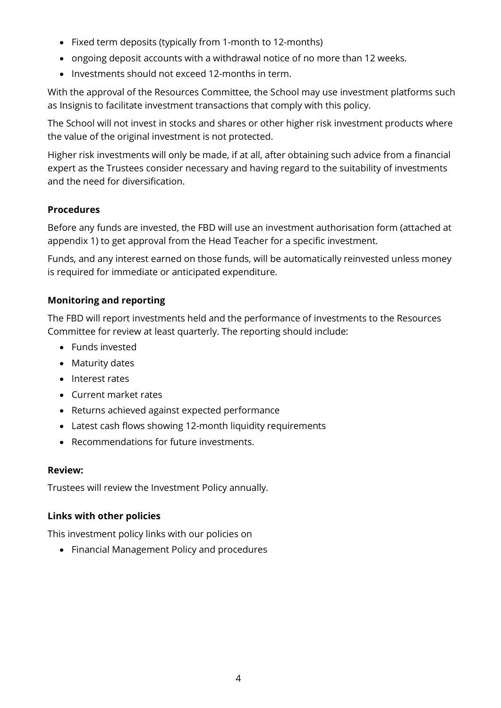- Fixed term deposits (typically from 1-month to 12-months)
- ongoing deposit accounts with a withdrawal notice of no more than 12 weeks.
- Investments should not exceed 12-months in term.

With the approval of the Resources Committee, the School may use investment platforms such as Insignis to facilitate investment transactions that comply with this policy.

The School will not invest in stocks and shares or other higher risk investment products where the value of the original investment is not protected.

Higher risk investments will only be made, if at all, after obtaining such advice from a financial expert as the Trustees consider necessary and having regard to the suitability of investments and the need for diversification.

#### Procedures

Before any funds are invested, the FBD will use an investment authorisation form (attached at appendix 1) to get approval from the Head Teacher for a specific investment.

Funds, and any interest earned on those funds, will be automatically reinvested unless money is required for immediate or anticipated expenditure.

#### Monitoring and reporting

The FBD will report investments held and the performance of investments to the Resources Committee for review at least quarterly. The reporting should include:

- Funds invested
- Maturity dates
- Interest rates
- Current market rates
- Returns achieved against expected performance
- Latest cash flows showing 12-month liquidity requirements
- Recommendations for future investments.

#### Review:

Trustees will review the Investment Policy annually.

#### Links with other policies

This investment policy links with our policies on

Financial Management Policy and procedures